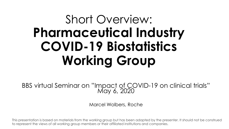# Short Overview: **Pharmaceutical Industry COVID-19 Biostatistics Working Group**

BBS virtual Seminar on "Impact of COVID-19 on clinical trials" May 6, 2020

Marcel Wolbers, Roche

This presentation is based on materials from the working group but has been adapted by the presenter. It should not be construed to represent the views of all working group members or their affiliated institutions and companies.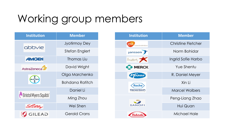# Working group members

| <b>Institution</b>       | <b>Member</b>          |
|--------------------------|------------------------|
| abbvie                   | <b>Jyotirmoy Dey</b>   |
|                          | <b>Stefan Englert</b>  |
| <b>AMGEN</b>             | Thomas Liu             |
| AstraZeneca              | David Wright           |
| BAYER<br>BAYER           | Olga Marchenko         |
|                          | <b>Bohdana Ratitch</b> |
| Ull Bristol Myers Squibb | Daniel Li              |
|                          | Ming Zhou              |
| Lilly                    | Wei Shen               |
| <b>EXAMPLE</b>           | <b>Gerald Crans</b>    |

| <b>Institution</b>                                       | <b>Member</b>             |  |
|----------------------------------------------------------|---------------------------|--|
| gsk<br>GlaxoSmithKline                                   | <b>Christine Fletcher</b> |  |
| Janssen                                                  | Norm Bohidar              |  |
| $L_{\text{mdl}eeb}$                                      | Ingrid Sofie Harbo        |  |
| <b>MERCK</b>                                             | Yue Shentu                |  |
| Prizer                                                   | R. Daniel Meyer           |  |
| <b>Roche</b><br>Genentech<br>A Member of the Roche Group | Xin Ii                    |  |
|                                                          | <b>Marcel Wolbers</b>     |  |
| <b>SANOFI</b>                                            | Peng-Liang Zhao           |  |
|                                                          | Hui Quan                  |  |
| Takeda                                                   | Michael Hale              |  |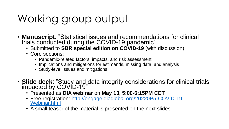# Working group output

- **Manuscript**: "Statistical issues and recommendations for clinical trials conducted during the COVID-19 pandemic"
	- Submitted to **SBR special edition on COVID-19** (with discussion)
	- Core sections:
		- Pandemic-related factors, impacts, and risk assessment
		- Implications and mitigations for estimands, missing data, and analysis
		- Study-level issues and mitigations
- **Slide deck**: "Study and data integrity considerations for clinical trials impacted by COVID-19"
	- Presented as **DIA webinar** on **May 13, 5:00-6:15PM CET**
	- [Free registration: http://engage.diaglobal.org/20220P5-COVID-19-](http://engage.diaglobal.org/20220P5-COVID-19-Webinar.html) Webinar.html
	- A small teaser of the material is presented on the next slides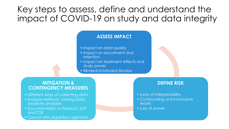## Key steps to assess, define and understand the impact of COVID-19 on study and data integrity

#### **ASSESS IMPACT**

- Impact on data quality
- Impact on recruitment and retention
- Impact on treatment effects and study power
- Blinded/Unblinded Review

#### **MITIGATION & CONTINGENCY MEASURES**

- Different ways of collecting data
- Analysis methods, missing data, sensitivity analyses
- Documentation in Protocol, SAP and CSR
- Consult with regulatory agencies

#### **DEFINE RISK**

- Lack of interpretability
- Confounding or inconclusive results
- Loss of power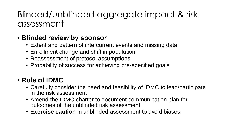## Blinded/unblinded aggregate impact & risk assessment

### • **Blinded review by sponsor**

- Extent and pattern of intercurrent events and missing data
- Enrollment change and shift in population
- Reassessment of protocol assumptions
- Probability of success for achieving pre-specified goals

### • **Role of IDMC**

- Carefully consider the need and feasibility of IDMC to lead/participate in the risk assessment
- Amend the IDMC charter to document communication plan for outcomes of the unblinded risk assessment
- **Exercise caution** in unblinded assessment to avoid biases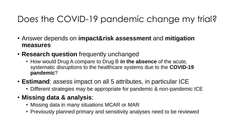## Does the COVID-19 pandemic change my trial?

- Answer depends on **impact&risk assessment** and **mitigation measures**
- **Research question** frequently unchanged
	- How would Drug A compare to Drug B **in the absence** of the acute, systematic disruptions to the healthcare systems due to the **COVID-19 pandemic**?
- **Estimand**: assess impact on all 5 attributes, in particular ICE
	- Different strategies may be appropriate for pandemic & non-pandemic ICE

### • **Missing data & analysis**:

- Missing data in many situations MCAR or MAR
- Previously planned primary and sensitivity analyses need to be reviewed